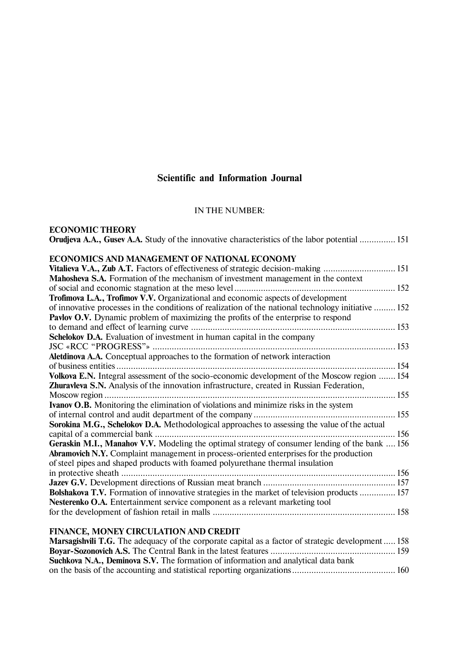# **Scientific and Information Journal**

# IN THE NUMBER:

| <b>ECONOMIC THEORY</b>                                                                                                                                                                    |  |
|-------------------------------------------------------------------------------------------------------------------------------------------------------------------------------------------|--|
| <b>Orudieva A.A., Gusev A.A.</b> Study of the innovative characteristics of the labor potential  151                                                                                      |  |
| ECONOMICS AND MANAGEMENT OF NATIONAL ECONOMY                                                                                                                                              |  |
| Vitalieva V.A., Zub A.T. Factors of effectiveness of strategic decision-making  151                                                                                                       |  |
|                                                                                                                                                                                           |  |
| <b>Mahosheva S.A.</b> Formation of the mechanism of investment management in the context                                                                                                  |  |
|                                                                                                                                                                                           |  |
| Trofimova L.A., Trofimov V.V. Organizational and economic aspects of development                                                                                                          |  |
| of innovative processes in the conditions of realization of the national technology initiative  152                                                                                       |  |
| Pavlov O.V. Dynamic problem of maximizing the profits of the enterprise to respond                                                                                                        |  |
|                                                                                                                                                                                           |  |
| Schelokov D.A. Evaluation of investment in human capital in the company                                                                                                                   |  |
|                                                                                                                                                                                           |  |
| Aletdinova A.A. Conceptual approaches to the formation of network interaction                                                                                                             |  |
|                                                                                                                                                                                           |  |
| Volkova E.N. Integral assessment of the socio-economic development of the Moscow region  154<br>Zhuravleva S.N. Analysis of the innovation infrastructure, created in Russian Federation, |  |
|                                                                                                                                                                                           |  |
| <b>Ivanov O.B.</b> Monitoring the elimination of violations and minimize risks in the system                                                                                              |  |
|                                                                                                                                                                                           |  |
| Sorokina M.G., Schelokov D.A. Methodological approaches to assessing the value of the actual                                                                                              |  |
|                                                                                                                                                                                           |  |
| Geraskin M.I., Manahov V.V. Modeling the optimal strategy of consumer lending of the bank  156                                                                                            |  |
| <b>Abramovich N.Y.</b> Complaint management in process-oriented enterprises for the production                                                                                            |  |
| of steel pipes and shaped products with foamed polyurethane thermal insulation                                                                                                            |  |
|                                                                                                                                                                                           |  |
|                                                                                                                                                                                           |  |
| Bolshakova T.V. Formation of innovative strategies in the market of television products  157                                                                                              |  |
| Nesterenko O.A. Entertainment service component as a relevant marketing tool                                                                                                              |  |
|                                                                                                                                                                                           |  |
|                                                                                                                                                                                           |  |

# **FINANCE, MONEY CIRCULATION AND CREDIT**

| <b>Marsagishvili T.G.</b> The adequacy of the corporate capital as a factor of strategic development  158 |  |
|-----------------------------------------------------------------------------------------------------------|--|
|                                                                                                           |  |
| <b>Suchkova N.A., Deminova S.V.</b> The formation of information and analytical data bank                 |  |
|                                                                                                           |  |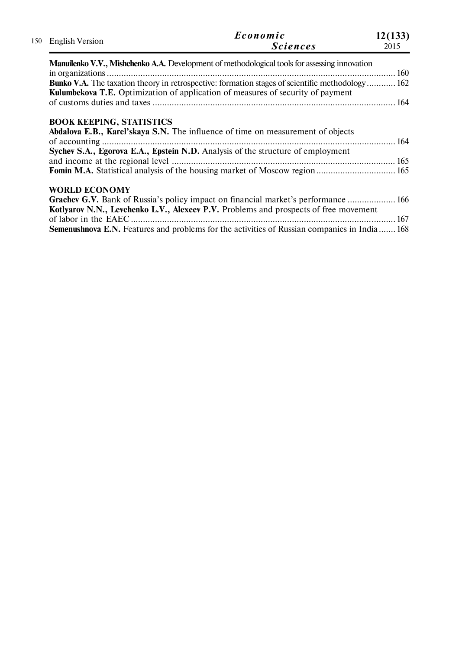| 150 English Version             | Economic<br><b>Sciences</b>                                                                                                                                                                                                                                                | 12(133)<br>2015 |
|---------------------------------|----------------------------------------------------------------------------------------------------------------------------------------------------------------------------------------------------------------------------------------------------------------------------|-----------------|
|                                 | <b>Manuilenko V.V., Mishchenko A.A.</b> Development of methodological tools for assessing innovation                                                                                                                                                                       |                 |
|                                 | <b>Bunko V.A.</b> The taxation theory in retrospective: formation stages of scientific methodology 162<br><b>Kulumbekova T.E.</b> Optimization of application of measures of security of payment                                                                           |                 |
| <b>BOOK KEEPING, STATISTICS</b> |                                                                                                                                                                                                                                                                            |                 |
|                                 | Abdalova E.B., Karel'skaya S.N. The influence of time on measurement of objects                                                                                                                                                                                            |                 |
|                                 | Sychev S.A., Egorova E.A., Epstein N.D. Analysis of the structure of employment<br>Fomin M.A. Statistical analysis of the housing market of Moscow region 165                                                                                                              |                 |
| <b>WORLD ECONOMY</b>            |                                                                                                                                                                                                                                                                            |                 |
|                                 | Grachev G.V. Bank of Russia's policy impact on financial market's performance  166<br>Kotlyarov N.N., Levchenko L.V., Alexeev P.V. Problems and prospects of free movement<br>Semenushnova E.N. Features and problems for the activities of Russian companies in India 168 |                 |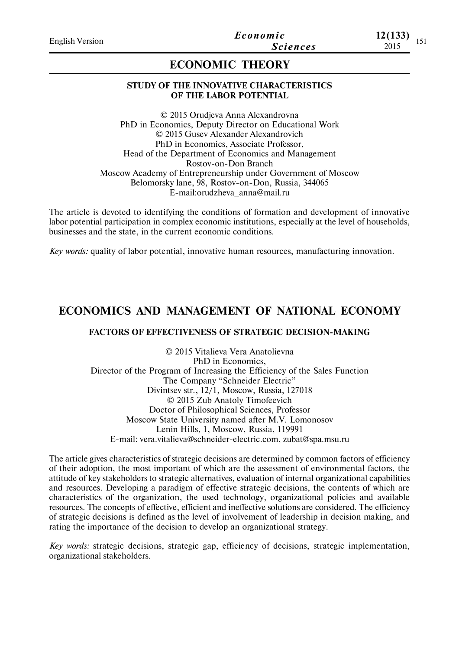**12(133)**

# **ECONOMIC THEORY**

## **STUDY OF THE INNOVATIVE CHARACTERISTICS OF THE LABOR POTENTIAL**

© 2015 Orudjeva Anna Alexandrovna PhD in Economics, Deputy Director on Educational Work © 2015 Gusev Alexander Alexandrovich PhD in Economics, Associate Professor, Head of the Department of Economics and Management Rostov-on-Don Branch Moscow Academy of Entrepreneurship under Government of Moscow Belomorsky lane, 98, Rostov-on-Don, Russia, 344065 E-mail:orudzheva\_anna@mail.ru

The article is devoted to identifying the conditions of formation and development of innovative labor potential participation in complex economic institutions, especially at the level of households, businesses and the state, in the current economic conditions.

*Key words:* quality of labor potential, innovative human resources, manufacturing innovation.

# **ECONOMICS AND MANAGEMENT OF NATIONAL ECONOMY**

### **FACTORS OF EFFECTIVENESS OF STRATEGIC DECISION-MAKING**

© 2015 Vitalieva Vera Anatolievna PhD in Economics, Director of the Program of Increasing the Efficiency of the Sales Function The Company "Schneider Electric" Divintsev str., 12/1, Moscow, Russia, 127018 © 2015 Zub Anatoly Timofeevich Doctor of Philosophical Sciences, Professor Moscow State University named after M.V. Lomonosov Lenin Hills, 1, Moscow, Russia, 119991 E-mail: vera.vitalieva@schneider-electric.com, zubat@spa.msu.ru

The article gives characteristics of strategic decisions are determined by common factors of efficiency of their adoption, the most important of which are the assessment of environmental factors, the attitude of key stakeholders to strategic alternatives, evaluation of internal organizational capabilities and resources. Developing a paradigm of effective strategic decisions, the contents of which are characteristics of the organization, the used technology, organizational policies and available resources. The concepts of effective, efficient and ineffective solutions are considered. The efficiency of strategic decisions is defined as the level of involvement of leadership in decision making, and rating the importance of the decision to develop an organizational strategy.

*Key words:* strategic decisions, strategic gap, efficiency of decisions, strategic implementation, organizational stakeholders.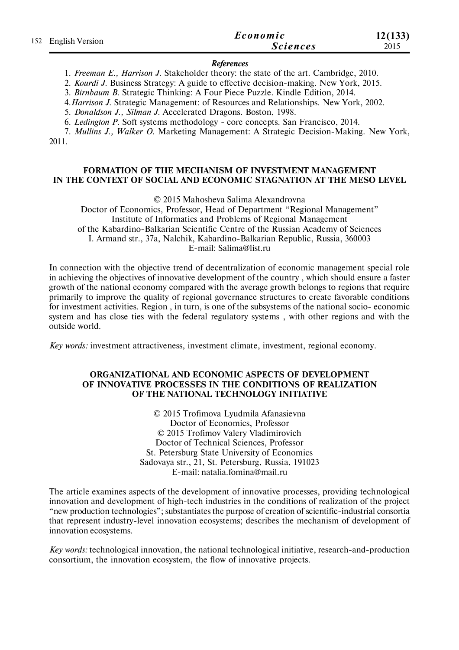|                     | Economic        | 12(133) |
|---------------------|-----------------|---------|
| 152 English Version | <b>Sciences</b> | 2015    |

#### *References*

1. *Freeman E., Harrison J.* Stakeholder theory: the state of the art. Cambridge, 2010.

2. *Kourdi J.* Business Strategy: A guide to effective decision-making. New York, 2015.

3. *Birnbaum B.* Strategic Thinking: A Four Piece Puzzle. Kindle Edition, 2014.

4.*Harrison J.* Strategic Management: of Resources and Relationships. New York, 2002.

5. *Donaldson J., Silman J.* Accelerated Dragons. Boston, 1998.

6. *Ledington P.* Soft systems methodology - core concepts. San Francisco, 2014.

7. *Mullins J., Walker О.* Marketing Management: A Strategic Decision-Making. New York, 2011.

#### **FORMATION OF THE MECHANISM OF INVESTMENT MANAGEMENT IN THE CONTEXT OF SOCIAL AND ECONOMIC STAGNATION AT THE MESO LEVEL**

© 2015 Mahosheva Salima Alexandrovna

Doctor of Economics, Professor, Head of Department "Regional Management" Institute of Informatics and Problems of Regional Management of the Kabardino-Balkarian Scientific Centre of the Russian Academy of Sciences I. Armand str., 37a, Nalchik, Kabardino-Balkarian Republic, Russia, 360003 E-mail: Salima@list.ru

In connection with the objective trend of decentralization of economic management special role in achieving the objectives of innovative development of the country , which should ensure a faster growth of the national economy compared with the average growth belongs to regions that require primarily to improve the quality of regional governance structures to create favorable conditions for investment activities. Region , in turn, is one of the subsystems of the national socio- economic system and has close ties with the federal regulatory systems , with other regions and with the outside world.

*Кey words:* investment attractiveness, investment climate, investment, regional economy.

#### **ORGANIZATIONAL AND ECONOMIC ASPECTS OF DEVELOPMENT OF INNOVATIVE PROCESSES IN THE CONDITIONS OF REALIZATION OF THE NATIONAL TECHNOLOGY INITIATIVE**

© 2015 Trofimova Lyudmila Afanasievna Doctor of Economics, Professor © 2015 Trofimov Valery Vladimirovich Doctor of Technical Sciences, Professor St. Petersburg State University of Economics Sadovaya str., 21, St. Petersburg, Russia, 191023 E-mail: natalia.fomina@mail.ru

The article examines aspects of the development of innovative processes, providing technological innovation and development of high-tech industries in the conditions of realization of the project "new production technologies"; substantiates the purpose of creation of scientific-industrial consortia that represent industry-level innovation ecosystems; describes the mechanism of development of innovation ecosystems.

*Key words:* technological innovation, the national technological initiative, research-and-production consortium, the innovation ecosystem, the flow of innovative projects.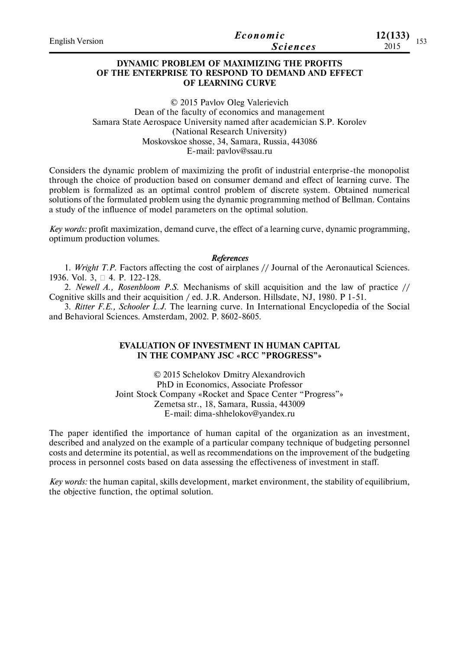| <b>English Version</b> | Economic        | 12(133)       |
|------------------------|-----------------|---------------|
|                        | <i>Sciences</i> | 1 J J<br>2015 |

# **DYNAMIC PROBLEM OF MAXIMIZING THE PROFITS OF THE ENTERPRISE TO RESPOND TO DEMAND AND EFFECT OF LEARNING CURVE**

© 2015 Pavlov Oleg Valerievich Dean of the faculty of economics and management Samara State Aerospace University named after academician S.P. Korolev (National Research University) Moskovskoe shosse, 34, Samara, Russia, 443086 E-mail: pavlov@ssau.ru

Considers the dynamic problem of maximizing the profit of industrial enterprise-the monopolist through the choice of production based on consumer demand and effect of learning curve. The problem is formalized as an optimal control problem of discrete system. Obtained numerical solutions of the formulated problem using the dynamic programming method of Bellman. Contains a study of the influence of model parameters on the optimal solution.

*Key words:* profit maximization, demand curve, the effect of a learning curve, dynamic programming, optimum production volumes.

#### *References*

1. *Wright T.P.* Factors affecting the cost of airplanes // Journal of the Aeronautical Sciences. 1936. Vol. 3, □ 4. P. 122-128.

2. *Newell A., Rosenbloom P.S.* Mechanisms of skill acquisition and the law of practice // Cognitive skills and their acquisition / ed. J.R. Anderson. Hillsdate, NJ, 1980. P 1-51.

3. *Ritter F.E., Schooler L.J.* The learning curve. In International Encyclopedia of the Social and Behavioral Sciences. Amsterdam, 2002. P. 8602-8605.

## **EVALUATION OF INVESTMENT IN HUMAN CAPITAL IN THE COMPANY JSC «RCC "PROGRESS"»**

© 2015 Schelokov Dmitry Alexandrovich PhD in Economics, Associate Professor Joint Stock Company «Rocket and Space Center "Progress"» Zemetsa str., 18, Samara, Russia, 443009 E-mail: dima-shhelokov@yandex.ru

The paper identified the importance of human capital of the organization as an investment, described and analyzed on the example of a particular company technique of budgeting personnel costs and determine its potential, as well as recommendations on the improvement of the budgeting process in personnel costs based on data assessing the effectiveness of investment in staff.

*Key words:* the human capital, skills development, market environment, the stability of equilibrium, the objective function, the optimal solution.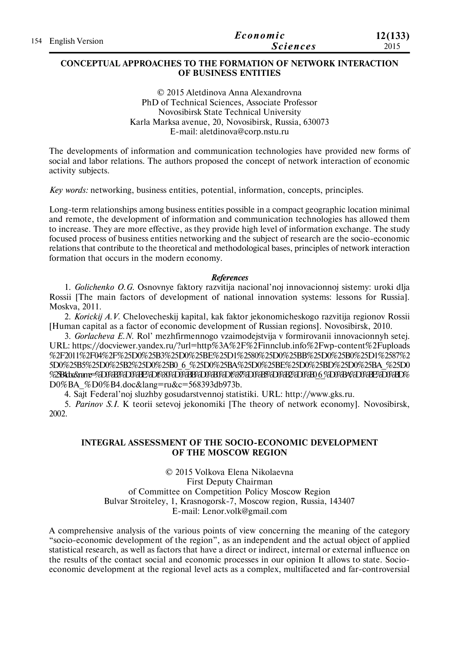|                     | Economic        | 12(133) |
|---------------------|-----------------|---------|
| 154 English Version | <b>Sciences</b> | 2015    |

### **CONCEPTUAL APPROACHES TO THE FORMATION OF NETWORK INTERACTION OF BUSINESS ENTITIES**

© 2015 Aletdinova Anna Alexandrovna PhD of Technical Sciences, Associate Professor Novosibirsk State Technical University Karla Marksa avenue, 20, Novosibirsk, Russia, 630073 E-mail: aletdinova@corp.nstu.ru

The developments of information and communication technologies have provided new forms of social and labor relations. The authors proposed the concept of network interaction of economic activity subjects.

*Key words:* networking, business entities, potential, information, concepts, principles.

Long-term relationships among business entities possible in a compact geographic location minimal and remote, the development of information and communication technologies has allowed them to increase. They are more effective, as they provide high level of information exchange. The study focused process of business entities networking and the subject of research are the socio-economic relations that contribute to the theoretical and methodological bases, principles of network interaction formation that occurs in the modern economy.

### *References*

1. *Golichenko O.G.* Osnovnye faktory razvitija nacional'noj innovacionnoj sistemy: uroki dlja Rossii [The main factors of development of national innovation systems: lessons for Russia]. Moskva, 2011.

2. *Korickij A.V.* Chelovecheskij kapital, kak faktor jekonomicheskogo razvitija regionov Rossii [Human capital as a factor of economic development of Russian regions]. Novosibirsk, 2010.

3. *Gorlacheva E.N.* Rol' mezhfirmennogo vzaimodejstvija v formirovanii innovacionnyh setej. URL: https://docviewer.yandex.ru/?url=http%3A%2F%2Finnclub.info%2Fwp-content%2Fuploads %2F2011%2F04%2F%25D0%25B3%25D0%25BE%25D1%2580%25D0%25BB%25D0%25B0%25D1%2587%2 5D0%25B5%25D0%25B2%25D0%25B0\_6\_%25D0%25BA%25D0%25BE%25D0%25BD%25D0%25BA\_%25D0 %25B4ta&nne=%D0%B3%D0%BE%D1%80%D0%BB%D0%B0%D1%87%D0%B3%D0%B2%D0%B0 6 %D0%B4%D0%BE%D0%BD% D0%BA\_%D0%B4.doc&lang=ru&c=568393db973b.

4. Sajt Federal'noj sluzhby gosudarstvennoj statistiki. URL: http://www.gks.ru.

5. *Parinov S.I.* K teorii setevoj jekonomiki [The theory of network economy]. Novosibirsk, 2002.

## **INTEGRAL ASSESSMENT OF THE SOCIO-ECONOMIC DEVELOPMENT OF THE MOSCOW REGION**

© 2015 Volkova Elena Nikolaevna First Deputy Chairman of Committee on Competition Policy Moscow Region Bulvar Stroiteley, 1, Krasnogorsk-7, Moscow region, Russia, 143407 E-mail: Lenor.volk@gmail.com

A comprehensive analysis of the various points of view concerning the meaning of the category "socio-economic development of the region", as an independent and the actual object of applied statistical research, as well as factors that have a direct or indirect, internal or external influence on the results of the contact social and economic processes in our opinion It allows to state. Socioeconomic development at the regional level acts as a complex, multifaceted and far-controversial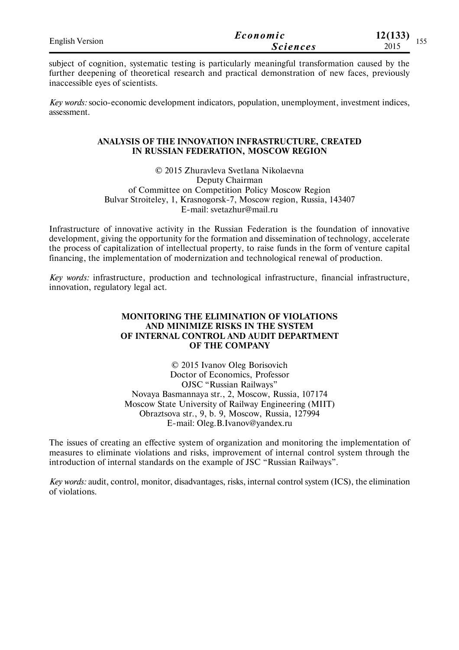| <b>English Version</b> | Economic        | 12(133)<br>$\sim$ $\sim$ $\sim$ |
|------------------------|-----------------|---------------------------------|
|                        | <b>Sciences</b> | 1 J J<br>2015                   |

subject of cognition, systematic testing is particularly meaningful transformation caused by the further deepening of theoretical research and practical demonstration of new faces, previously inaccessible eyes of scientists.

*Key words:* socio-economic development indicators, population, unemployment, investment indices, assessment.

### **ANALYSIS OF THE INNOVATION INFRASTRUCTURE, CREATED IN RUSSIAN FEDERATION, MOSCOW REGION**

© 2015 Zhuravleva Svetlana Nikolaevna Deputy Chairman of Committee on Competition Policy Moscow Region Bulvar Stroiteley, 1, Krasnogorsk-7, Moscow region, Russia, 143407 E-mail: svetazhur@mail.ru

Infrastructure of innovative activity in the Russian Federation is the foundation of innovative development, giving the opportunity for the formation and dissemination of technology, accelerate the process of capitalization of intellectual property, to raise funds in the form of venture capital financing, the implementation of modernization and technological renewal of production.

*Key words:* infrastructure, production and technological infrastructure, financial infrastructure, innovation, regulatory legal act.

### **MONITORING THE ELIMINATION OF VIOLATIONS AND MINIMIZE RISKS IN THE SYSTEM OF INTERNAL CONTROL AND AUDIT DEPARTMENT OF THE COMPANY**

© 2015 Ivanov Oleg Borisovich Doctor of Economics, Professor OJSC "Russian Railways" Novaya Basmannaya str., 2, Moscow, Russia, 107174 Moscow State University of Railway Engineering (MIIT) Obraztsova str., 9, b. 9, Moscow, Russia, 127994 E-mail: Oleg.B.Ivanov@yandex.ru

The issues of creating an effective system of organization and monitoring the implementation of measures to eliminate violations and risks, improvement of internal control system through the introduction of internal standards on the example of JSC "Russian Railways".

*Key words:* audit, control, monitor, disadvantages, risks, internal control system (ICS), the elimination of violations.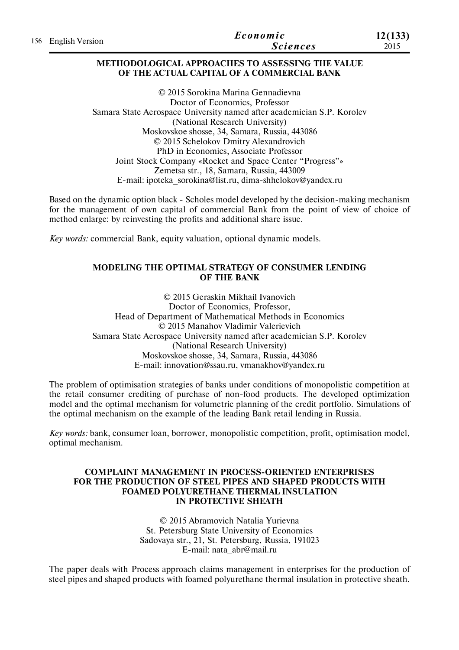| 156 English Version | Economic | 12(133)         |      |
|---------------------|----------|-----------------|------|
|                     |          | <i>Sciences</i> | 2015 |

## **METHODOLOGICAL APPROACHES TO ASSESSING THE VALUE OF THE ACTUAL CAPITAL OF A COMMERCIAL BANK**

© 2015 Sorokina Marina Gennadievna Doctor of Economics, Professor Samara State Aerospace University named after academician S.P. Korolev (National Research University) Moskovskoe shosse, 34, Samara, Russia, 443086 © 2015 Schelokov Dmitry Alexandrovich PhD in Economics, Associate Professor Joint Stock Company «Rocket and Space Center "Progress"» Zemetsa str., 18, Samara, Russia, 443009 E-mail: ipoteka\_sorokina@list.ru, dima-shhelokov@yandex.ru

Based on the dynamic option black - Scholes model developed by the decision-making mechanism for the management of own capital of commercial Bank from the point of view of choice of method enlarge: by reinvesting the profits and additional share issue.

*Key words:* commercial Bank, equity valuation, optional dynamic models.

# **MODELING THE OPTIMAL STRATEGY OF CONSUMER LENDING OF THE BANK**

© 2015 Geraskin Mikhail Ivanovich Doctor of Economics, Professor, Head of Department of Mathematical Methods in Economics © 2015 Manahov Vladimir Valerievich Samara State Aerospace University named after academician S.P. Korolev (National Research University) Moskovskoe shosse, 34, Samara, Russia, 443086 E-mail: innovation@ssau.ru, vmanakhov@yandex.ru

The problem of optimisation strategies of banks under conditions of monopolistic competition at the retail consumer crediting of purchase of non-food products. The developed optimization model and the optimal mechanism for volumetric planning of the credit portfolio. Simulations of the optimal mechanism on the example of the leading Bank retail lending in Russia.

*Key words:* bank, consumer loan, borrower, monopolistic competition, profit, optimisation model, optimal mechanism.

### **COMPLAINT MANAGEMENT IN PROCESS-ORIENTED ENTERPRISES FOR THE PRODUCTION OF STEEL PIPES AND SHAPED PRODUCTS WITH FOAMED POLYURETHANE THERMAL INSULATION IN PROTECTIVE SHEATH**

© 2015 Abramovich Natalia Yurievna St. Petersburg State University of Economics Sadovaya str., 21, St. Petersburg, Russia, 191023 Е-mail: nata\_abr@mail.ru

The paper deals with Process approach claims management in enterprises for the production of steel pipes and shaped products with foamed polyurethane thermal insulation in protective sheath.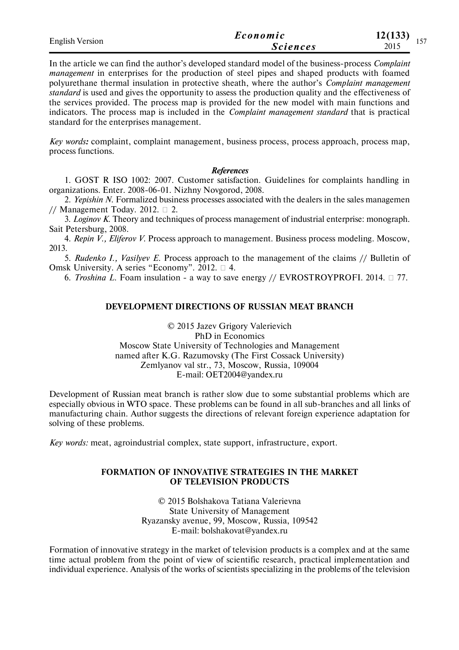| <b>English Version</b> | Economic        | 12(133)<br>157 |
|------------------------|-----------------|----------------|
|                        | <i>Sciences</i> | 1 J J<br>2015  |

In the article we can find the author's developed standard model of the business-process *Complaint management* in enterprises for the production of steel pipes and shaped products with foamed polyurethane thermal insulation in protective sheath, where the author's *Complaint management standard* is used and gives the opportunity to assess the production quality and the effectiveness of the services provided. The process map is provided for the new model with main functions and indicators. The process map is included in the *Complaint management standard* that is practical standard for the enterprises management.

*Key words:* complaint, complaint management, business process, process approach, process map, process functions.

#### *References*

1. GOST R ISO 1002: 2007. Customer satisfaction. Guidelines for complaints handling in organizations. Enter. 2008-06-01. Nizhny Novgorod, 2008.

2. *Yepishin N.* Formalized business processes associated with the dealers in the sales managemen // Management Today. 2012.  $\Box$  2.

3. *Loginov K.* Theory and techniques of process management of industrial enterprise: monograph. Sait Petersburg, 2008.

4. *Repin V., Eliferov V.* Process approach to management. Business process modeling. Moscow, 2013.

5. *Rudenko I., Vasilyev E.* Process approach to the management of the claims // Bulletin of Omsk University. A series "Economy". 2012. □ 4.

6. *Troshina L*. Foam insulation - a way to save energy // EVROSTROYPROFI. 2014.  $\Box$  77.

#### **DEVELOPMENT DIRECTIONS OF RUSSIAN MEAT BRANCH**

© 2015 Jazev Grigory Valerievich PhD in Economics Moscow State University of Technologies and Management named after K.G. Razumovsky (The First Cossack University) Zemlyanov val str., 73, Moscow, Russia, 109004 E-mail: OET2004@yandex.ru

Development of Russian meat branch is rather slow due to some substantial problems which are especially obvious in WTO space. These problems can be found in all sub-branches and all links of manufacturing chain. Author suggests the directions of relevant foreign experience adaptation for solving of these problems.

*Key words:* meat, agroindustrial complex, state support, infrastructure, export.

#### **FORMATION OF INNOVATIVE STRATEGIES IN THE MARKET OF TELEVISION PRODUCTS**

© 2015 Bolshakova Tatiana Valerievna State University of Management Ryazansky avenue, 99, Moscow, Russia, 109542 E-mail: bolshakovat@yandex.ru

Formation of innovative strategy in the market of television products is a complex and at the same time actual problem from the point of view of scientific research, practical implementation and individual experience. Analysis of the works of scientists specializing in the problems of the television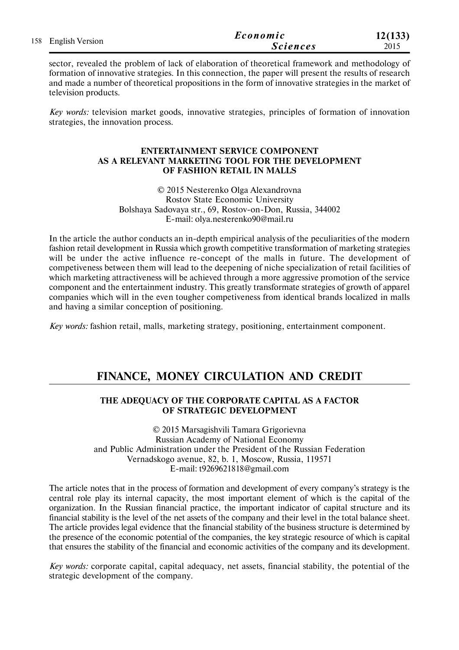| 158 English Version | Economic        | 12(133) |
|---------------------|-----------------|---------|
|                     | <b>Sciences</b> | 2015    |

sector, revealed the problem of lack of elaboration of theoretical framework and methodology of formation of innovative strategies. In this connection, the paper will present the results of research and made a number of theoretical propositions in the form of innovative strategies in the market of television products.

*Key words:* television market goods, innovative strategies, principles of formation of innovation strategies, the innovation process.

## **ENTERTAINMENT SERVICE COMPONENT AS A RELEVANT MARKETING TOOL FOR THE DEVELOPMENT OF FASHION RETAIL IN MALLS**

© 2015 Nesterenko Olga Alexandrovna Rostov State Economic University Bolshaya Sadovaya str., 69, Rostov-on-Don, Russia, 344002 E-mail: olya.nesterenko90@mail.ru

In the article the author conducts an in-depth empirical analysis of the peculiarities of the modern fashion retail development in Russia which growth competitive transformation of marketing strategies will be under the active influence re-concept of the malls in future. The development of competiveness between them will lead to the deepening of niche specialization of retail facilities of which marketing attractiveness will be achieved through a more aggressive promotion of the service component and the entertainment industry. This greatly transformate strategies of growth of apparel companies which will in the even tougher competiveness from identical brands localized in malls and having a similar conception of positioning.

*Key words:* fashion retail, malls, marketing strategy, positioning, entertainment component.

# **FINANCE, MONEY CIRCULATION AND CREDIT**

## **THE ADEQUACY OF THE CORPORATE CAPITAL AS A FACTOR OF STRATEGIC DEVELOPMENT**

© 2015 Marsagishvili Tamara Grigorievna Russian Academy of National Economy and Public Administration under the President of the Russian Federation Vernadskogo avenue, 82, b. 1, Moscow, Russia, 119571 E-mail: t9269621818@gmail.com

The article notes that in the process of formation and development of every company's strategy is the central role play its internal capacity, the most important element of which is the capital of the organization. In the Russian financial practice, the important indicator of capital structure and its financial stability is the level of the net assets of the company and their level in the total balance sheet. The article provides legal evidence that the financial stability of the business structure is determined by the presence of the economic potential of the companies, the key strategic resource of which is capital that ensures the stability of the financial and economic activities of the company and its development.

*Key words:* corporate capital, capital adequacy, net assets, financial stability, the potential of the strategic development of the company.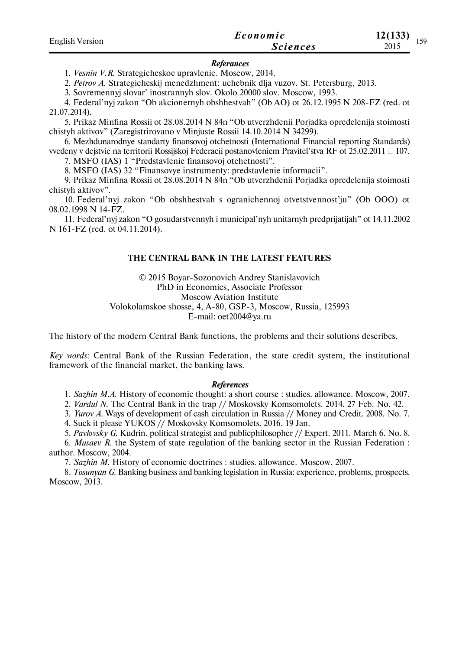| <b>English Version</b> | Economic        | 12(133)<br>150 |
|------------------------|-----------------|----------------|
|                        | <b>Sciences</b> | エジン<br>2015    |

#### *Referances*

1. *Vesnin V.R.* Strategicheskoe upravlenie. Moscow, 2014.

2. *Petrov A.* Strategicheskij menedzhment: uchebnik dlja vuzov. St. Petersburg, 2013.

3. Sovremennyj slovar' inostrannyh slov. Okolo 20000 slov. Moscow, 1993.

4. Federal'nyj zakon "Ob akcionernyh obshhestvah" (Ob AO) ot 26.12.1995 N 208-FZ (red. ot 21.07.2014).

5. Prikaz Minfina Rossii ot 28.08.2014 N 84n "Ob utverzhdenii Porjadka opredelenija stoimosti chistyh aktivov" (Zaregistrirovano v Minjuste Rossii 14.10.2014 N 34299).

6. Mezhdunarodnye standarty finansovoj otchetnosti (International Financial reporting Standards) vvedeny v dejstvie na territorii Rossijskoj Federacii postanovleniem Pravitel'stva RF ot 25.02.2011  $\Box$  107.

7. MSFO (IAS) 1 "Predstavlenie finansovoj otchetnosti".

8. MSFO (IAS) 32 "Finansovye instrumenty: predstavlenie informacii".

9. Prikaz Minfina Rossii ot 28.08.2014 N 84n "Ob utverzhdenii Porjadka opredelenija stoimosti chistyh aktivov".

10. Federal'nyj zakon "Ob obshhestvah s ogranichennoj otvetstvennost'ju" (Ob OOO) ot 08.02.1998 N 14-FZ.

11. Federal'nyj zakon "O gosudarstvennyh i municipal'nyh unitarnyh predprijatijah" ot 14.11.2002 N 161-FZ (red. ot 04.11.2014).

#### **THE CENTRAL BANK IN THE LATEST FEATURES**

© 2015 Boyar-Sоzonovich Andrey Stanislavovich PhD in Economics, Associate Professor Moscow Aviation Institute Volokolamskoe shosse, 4, A-80, GSP-3, Moscow, Russia, 125993 E-mail: oet2004@ya.ru

The history of the modern Central Bank functions, the problems and their solutions describes.

*Key words:* Central Bank of the Russian Federation, the state credit system, the institutional framework of the financial market, the banking laws.

#### *References*

1. *Sazhin M.A.* History of economic thought: a short course : studies. allowance. Moscow, 2007.

2. *Vardul N.* The Central Bank in the trap // Moskovsky Komsomolets. 2014. 27 Feb. No. 42.

3. *Yurov A.* Ways of development of cash circulation in Russia // Money and Credit. 2008. No. 7.

4. Suck it please YUKOS // Moskovsky Komsomolets. 2016. 19 Jan.

5. *Pavlovsky G.* Kudrin, political strategist and publicphilosopher // Expert. 2011. March 6. No. 8.

6. *Musaev R.* the System of state regulation of the banking sector in the Russian Federation : author. Moscow, 2004.

7. *Sazhin M.* History of economic doctrines : studies. allowance. Moscow, 2007.

8. *Tosunyan G.* Banking business and banking legislation in Russia: experience, problems, prospects. Moscow, 2013.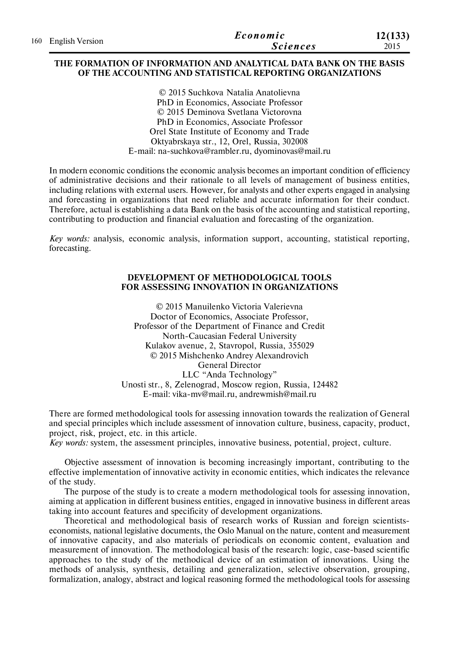|  | 160 English Version | Economic        | 12(133) |
|--|---------------------|-----------------|---------|
|  |                     | <i>Sciences</i> | 2015    |

#### **THE FORMATION OF INFORMATION AND ANALYTICAL DATA BANK ON THE BASIS OF THE ACCOUNTING AND STATISTICAL REPORTING ORGANIZATIONS**

© 2015 Suchkova Natalia Anatolievna PhD in Economics, Associate Professor © 2015 Deminova Svetlana Victorovna PhD in Economics, Associate Professor Orel State Institute of Economy and Trade Oktyabrskaya str., 12, Orel, Russia, 302008 E-mail: na-suchkova@rambler.ru, dyominovas@mail.ru

In modern economic conditions the economic analysis becomes an important condition of efficiency of administrative decisions and their rationale to all levels of management of business entities, including relations with external users. However, for analysts and other experts engaged in analysing and forecasting in organizations that need reliable and accurate information for their conduct. Therefore, actual is establishing a data Bank on the basis of the accounting and statistical reporting, contributing to production and financial evaluation and forecasting of the organization.

*Key words:* analysis, economic analysis, information support, accounting, statistical reporting, forecasting.

### **DEVELOPMENT OF METHODOLOGICAL TOOLS FOR ASSESSING INNOVATION IN ORGANIZATIONS**

© 2015 Manuilenko Victoria Valerievna Doctor of Economics, Associate Professor, Professor of the Department of Finance and Credit North-Caucasian Federal University Kulakov avenue, 2, Stavropol, Russia, 355029 © 2015 Mishchenko Andrey Alexandrovich General Director LLC "Anda Technology" Unosti str., 8, Zelenograd, Moscow region, Russia, 124482 E-mail: vika-mv@mail.ru, andrewmish@mail.ru

There are formed methodological tools for assessing innovation towards the realization of General and special principles which include assessment of innovation culture, business, capacity, product, project, risk, project, etc. in this article.

*Key words:* system, the assessment principles, innovative business, potential, project, culture.

Objective assessment of innovation is becoming increasingly important, contributing to the effective implementation of innovative activity in economic entities, which indicates the relevance of the study.

The purpose of the study is to create a modern methodological tools for assessing innovation, aiming at application in different business entities, engaged in innovative business in different areas taking into account features and specificity of development organizations.

Theoretical and methodological basis of research works of Russian and foreign scientistseconomists, national legislative documents, the Oslo Manual on the nature, content and measurement of innovative capacity, and also materials of periodicals on economic content, evaluation and measurement of innovation. The methodological basis of the research: logic, case-based scientific approaches to the study of the methodical device of an estimation of innovations. Using the methods of analysis, synthesis, detailing and generalization, selective observation, grouping, formalization, analogy, abstract and logical reasoning formed the methodological tools for assessing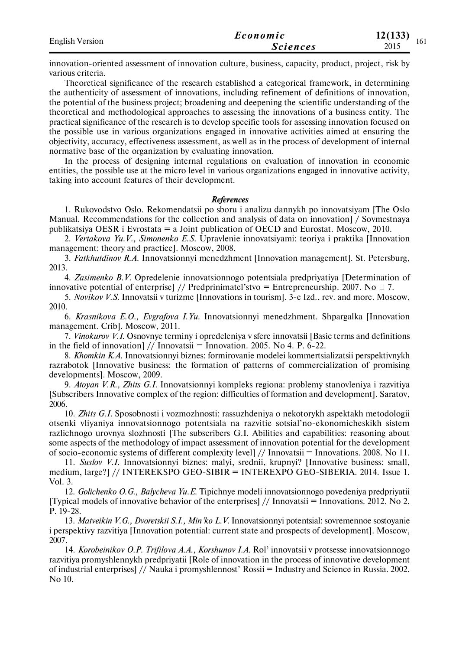| <b>English Version</b> | Economic        | 12(133)     |
|------------------------|-----------------|-------------|
|                        | <i>Sciences</i> | 101<br>2015 |

innovation-oriented assessment of innovation culture, business, capacity, product, project, risk by various criteria.

Theoretical significance of the research established a categorical framework, in determining the authenticity of assessment of innovations, including refinement of definitions of innovation, the potential of the business project; broadening and deepening the scientific understanding of the theoretical and methodological approaches to assessing the innovations of a business entity. The practical significance of the research is to develop specific tools for assessing innovation focused on the possible use in various organizations engaged in innovative activities aimed at ensuring the objectivity, accuracy, effectiveness assessment, as well as in the process of development of internal normative base of the organization by evaluating innovation.

In the process of designing internal regulations on evaluation of innovation in economic entities, the possible use at the micro level in various organizations engaged in innovative activity, taking into account features of their development.

#### *References*

1. Rukovodstvo Oslo. Rekomendatsii po sboru i analizu dannykh po innovatsiyam [The Oslo Manual. Recommendations for the collection and analysis of data on innovation] / Sovmestnaya publikatsiya OESR i Evrostata  $=$  a Joint publication of OECD and Eurostat. Moscow, 2010.

2. *Vertakova Yu.V., Simonenko E.S.* Upravlenie innovatsiyami: teoriya i praktika [Innovation management: theory and practice]. Moscow, 2008.

3. *Fatkhutdinov R.A.* Innovatsionnyi menedzhment [Innovation management]. St. Petersburg, 2013.

4. *Zasimenko B.V.* Opredelenie innovatsionnogo potentsiala predpriyatiya [Determination of innovative potential of enterprise] // Predprinimatel'stvo = Entrepreneurship. 2007. No  $\Box$  7.

5. *Novikov V.S.* Innovatsii v turizme [Innovations in tourism]. 3-e Izd., rev. and more. Moscow, 2010.

6. *Krasnikova E.O., Evgrafova I.Yu.* Innovatsionnyi menedzhment. Shpargalka [Innovation management. Crib]. Moscow, 2011.

7. *Vinokurov V.I.* Osnovnye terminy i opredeleniya v sfere innovatsii [Basic terms and definitions in the field of innovation] // Innovatsii = Innovation. 2005. No 4. P. 6-22.

8. *Khomkin K.A.* Innovatsionnyi biznes: formirovanie modelei kommertsializatsii perspektivnykh razrabotok [Innovative business: the formation of patterns of commercialization of promising developments]. Moscow, 2009.

9. *Atoyan V.R., Zhits G.I.* Innovatsionnyi kompleks regiona: problemy stanovleniya i razvitiya [Subscribers Innovative complex of the region: difficulties of formation and development]. Saratov, 2006.

10. *Zhits G.I.* Sposobnosti i vozmozhnosti: rassuzhdeniya o nekotorykh aspektakh metodologii otsenki vliyaniya innovatsionnogo potentsiala na razvitie sotsial'no-ekonomicheskikh sistem razlichnogo urovnya slozhnosti [The subscribers G.I. Abilities and capabilities: reasoning about some aspects of the methodology of impact assessment of innovation potential for the development of socio-economic systems of different complexity level] // Innovatsii = Innovations. 2008. No 11.

11. *Suslov V.I.* Innovatsionnyi biznes: malyi, srednii, krupnyi? [Innovative business: small, medium, large?] // INTEREKSPO GEO-SIBIR = INTEREXPO GEO-SIBERIA. 2014. Issue 1. Vol. 3.

12. *Golichenko O.G., Balycheva Yu.E.* Tipichnye modeli innovatsionnogo povedeniya predpriyatii [Typical models of innovative behavior of the enterprises] // Innovatsii = Innovations. 2012. No 2. P. 19-28.

13. *Matveikin V.G., Dvoretskii S.I., Min'ko L.V.* Innovatsionnyi potentsial: sovremennoe sostoyanie i perspektivy razvitiya [Innovation potential: current state and prospects of development]. Moscow, 2007.

14. *Korobeinikov O.P. Trifilova A.A., Korshunov I.A.* Rol' innovatsii v protsesse innovatsionnogo razvitiya promyshlennykh predpriyatii [Role of innovation in the process of innovative development of industrial enterprises] // Nauka i promyshlennost' Rossii = Industry and Science in Russia. 2002. No 10.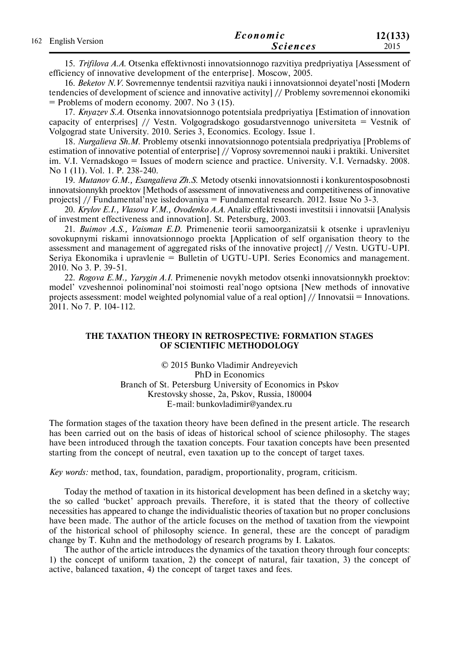|                     | Economic        | 12(133) |
|---------------------|-----------------|---------|
| 162 English Version | <b>Sciences</b> | 2015    |

15. *Trifilova A.A.* Otsenka effektivnosti innovatsionnogo razvitiya predpriyatiya [Assessment of efficiency of innovative development of the enterprise]. Moscow, 2005.

16. *Beketov N.V.* Sovremennye tendentsii razvitiya nauki i innovatsionnoi deyatel'nosti [Modern tendencies of development of science and innovative activity] // Problemy sovremennoi ekonomiki = Problems of modern economy. 2007. No 3 (15).

17. *Knyazev S.A.* Otsenka innovatsionnogo potentsiala predpriyatiya [Estimation of innovation capacity of enterprises] // Vestn. Volgogradskogo gosudarstvennogo universiteta = Vestnik of Volgograd state University. 2010. Series 3, Economics. Ecology. Issue 1.

18. *Nurgalieva Sh.M.* Problemy otsenki innovatsionnogo potentsiala predpriyatiya [Problems of estimation of innovative potential of enterprise] // Voprosy sovremennoi nauki i praktiki. Universitet im. V.I. Vernadskogo = Issues of modern science and practice. University. V.I. Vernadsky. 2008. No 1 (11). Vol. 1. P. 238-240.

19. *Mutanov G.M., Esangalieva Zh.S.* Metody otsenki innovatsionnosti i konkurentosposobnosti innovatsionnykh proektov [Methods of assessment of innovativeness and competitiveness of innovative projects] // Fundamental'nye issledovaniya = Fundamental research. 2012. Issue No 3-3.

20. *Krylov E.I., Vlasova V.M., Ovodenko A.A.* Analiz effektivnosti investitsii i innovatsii [Analysis of investment effectiveness and innovation]. St. Petersburg, 2003.

21. *Buimov A.S., Vaisman E.D.* Primenenie teorii samoorganizatsii k otsenke i upravleniyu sovokupnymi riskami innovatsionnogo proekta [Application of self organisation theory to the assessment and management of aggregated risks of the innovative project] // Vestn. UGTU-UPI. Seriya Ekonomika i upravlenie = Bulletin of UGTU-UPI. Series Economics and management. 2010. No 3. P. 39-51.

22. *Rogova E.M., Yarygin A.I.* Primenenie novykh metodov otsenki innovatsionnykh proektov: model' vzveshennoi polinominal'noi stoimosti real'nogo optsiona [New methods of innovative projects assessment: model weighted polynomial value of a real option] // Innovatsii = Innovations. 2011. No 7. P. 104-112.

#### **THE TAXATION THEORY IN RETROSPECTIVE: FORMATION STAGES OF SCIENTIFIC METHODOLOGY**

© 2015 Bunko Vladimir Andreyevich PhD in Economics Branch of St. Petersburg University of Economics in Pskov Krestovsky shosse, 2a, Pskov, Russia, 180004 Е-mail: bunkovladimir@yandex.ru

The formation stages of the taxation theory have been defined in the present article. The research has been carried out on the basis of ideas of historical school of science philosophy. The stages have been introduced through the taxation concepts. Four taxation concepts have been presented starting from the concept of neutral, even taxation up to the concept of target taxes.

*Key words:* method, tax, foundation, paradigm, proportionality, program, criticism.

Today the method of taxation in its historical development has been defined in a sketchy way; the so called 'bucket' approach prevails. Therefore, it is stated that the theory of collective necessities has appeared to change the individualistic theories of taxation but no proper conclusions have been made. The author of the article focuses on the method of taxation from the viewpoint of the historical school of philosophy science. In general, these are the concept of paradigm change by T. Kuhn and the methodology of research programs by I. Lakatos.

The author of the article introduces the dynamics of the taxation theory through four concepts: 1) the concept of uniform taxation, 2) the concept of natural, fair taxation, 3) the concept of active, balanced taxation, 4) the concept of target taxes and fees.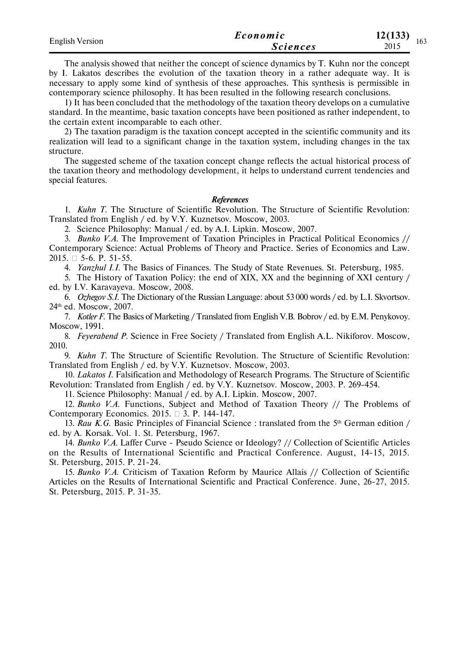| <b>English Version</b> | Economic        | 12(133)<br>163 |
|------------------------|-----------------|----------------|
|                        | <i>Sciences</i> | 2015           |

The analysis showed that neither the concept of science dynamics by T. Kuhn nor the concept by I. Lakatos describes the evolution of the taxation theory in a rather adequate way. It is necessary to apply some kind of synthesis of these approaches. This synthesis is permissible in contemporary science philosophy. It has been resulted in the following research conclusions.

1) It has been concluded that the methodology of the taxation theory develops on a cumulative standard. In the meantime, basic taxation concepts have been positioned as rather independent, to the certain extent incomparable to each other.

2) The taxation paradigm is the taxation concept accepted in the scientific community and its realization will lead to a significant change in the taxation system, including changes in the tax structure.

The suggested scheme of the taxation concept change reflects the actual historical process of the taxation theory and methodology development, it helps to understand current tendencies and special features.

#### *References*

1. *Kuhn T.* The Structure of Scientific Revolution. The Structure of Scientific Revolution: Translated from English / ed. by V.Y. Kuznetsov. Moscow, 2003.

2. Science Philosophy: Manual / ed. by A.I. Lipkin. Moscow, 2007.

3. *Bunko V.A.* The Improvement of Taxation Principles in Practical Political Economics // Contemporary Science: Actual Problems of Theory and Practice. Series of Economics and Law. 2015. □ 5-6. P. 51-55.

4. *Yanzhul I.I.* The Basics of Finances. The Study of State Revenues. St. Petersburg, 1985.

5. The History of Taxation Policy: the end of XIX, XX and the beginning of XXI century / ed. by I.V. Karavayeva. Moscow, 2008.

6. *Ozhegov S.I.* The Dictionary of the Russian Language: about 53 000 words / ed. by L.I. Skvortsov. 24th ed. Moscow, 2007.

7. *Kotler F.* The Basics of Marketing / Translated from English V.B. Bobrov / ed. by E.M. Penykovoy. Moscow, 1991.

8. *Feyerabend P.* Science in Free Society / Translated from English A.L. Nikiforov. Moscow, 2010.

9. *Kuhn T.* The Structure of Scientific Revolution. The Structure of Scientific Revolution: Translated from English / ed. by V.Y. Kuznetsov. Moscow, 2003.

10. *Lakatos I.* Falsification and Methodology of Research Programs. The Structure of Scientific Revolution: Translated from English / ed. by V.Y. Kuznetsov. Moscow, 2003. P. 269-454.

11. Science Philosophy: Manual / ed. by A.I. Lipkin. Moscow, 2007.

12. *Bunko V.A*. Functions, Subject and Method of Taxation Theory // The Problems of Contemporary Economics. 2015.  $\Box$  3. P. 144-147.

13. *Rau K.G.* Basic Principles of Financial Science : translated from the 5<sup>th</sup> German edition / ed. by A. Korsak. Vol. 1. St. Petersburg, 1967.

14. *Bunko V.A.* Laffer Curve - Pseudo Science or Ideology? // Collection of Scientific Articles on the Results of International Scientific and Practical Conference. August, 14-15, 2015. St. Petersburg, 2015. P. 21-24.

15. *Bunko V.A.* Criticism of Taxation Reform by Maurice Allais // Collection of Scientific Articles on the Results of International Scientific and Practical Conference. June, 26-27, 2015. St. Petersburg, 2015. P. 31-35.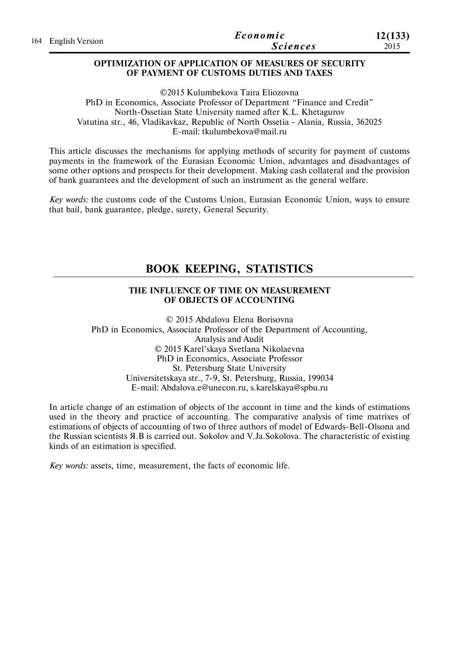|  | 164 English Version | Economic        | 12(133) |
|--|---------------------|-----------------|---------|
|  |                     | <b>Sciences</b> | 2015    |

#### **OPTIMIZATION OF APPLICATION OF MEASURES OF SECURITY OF PAYMENT OF CUSTOMS DUTIES AND TAXES**

©2015 Kulumbekova Taira Eliozovna PhD in Economics, Associate Professor of Department "Finance and Credit" North-Ossetian State University named after K.L. Khetagurov Vatutina str., 46, Vladikavkaz, Republic of North Ossetia - Alania, Russia, 362025 E-mail: tkulumbekova@mail.ru

This article discusses the mechanisms for applying methods of security for payment of customs payments in the framework of the Eurasian Economic Union, advantages and disadvantages of some other options and prospects for their development. Making cash collateral and the provision of bank guarantees and the development of such an instrument as the general welfare.

*Key words:* the customs code of the Customs Union, Eurasian Economic Union, ways to ensure that bail, bank guarantee, pledge, surety, General Security.

# **BOOK KEEPING, STATISTICS**

# **THE INFLUENCE OF TIME ON MEASUREMENT OF OBJECTS OF ACCOUNTING**

© 2015 Abdalova Elena Borisovna PhD in Economics, Associate Professor of the Department of Accounting, Analysis and Audit © 2015 Karel'skaya Svetlana Nikolaevna PhD in Economics, Associate Professor St. Petersburg State University Universitetskaya str., 7-9, St. Petersburg, Russia, 199034 E-mail: Abdalova.e@unecon.ru, s.karelskaya@spbu.ru

In article change of an estimation of objects of the account in time and the kinds of estimations used in the theory and practice of accounting. The comparative analysis of time matrixes of estimations of objects of accounting of two of three authors of model of Edwards-Bell-Olsona and the Russian scientists Я.В is carried out. Sokolov and V.Ja.Sokolova. The characteristic of existing kinds of an estimation is specified.

*Key words:* assets, time, measurement, the facts of economic life.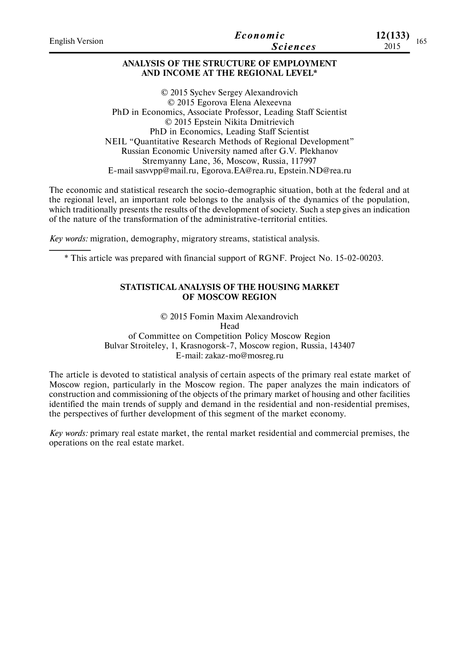| <b>English Version</b> | Economic<br><b>Sciences</b>                                                                                                                                                                                                                                                                                                                                                                                                                                       | 12(133)<br>2015 | 165 |
|------------------------|-------------------------------------------------------------------------------------------------------------------------------------------------------------------------------------------------------------------------------------------------------------------------------------------------------------------------------------------------------------------------------------------------------------------------------------------------------------------|-----------------|-----|
|                        | ANALYSIS OF THE STRUCTURE OF EMPLOYMENT<br>AND INCOME AT THE REGIONAL LEVEL*                                                                                                                                                                                                                                                                                                                                                                                      |                 |     |
|                        | © 2015 Sychev Sergey Alexandrovich<br>© 2015 Egorova Elena Alexeevna<br>PhD in Economics, Associate Professor, Leading Staff Scientist<br>© 2015 Epstein Nikita Dmitrievich<br>PhD in Economics, Leading Staff Scientist<br>NEIL "Quantitative Research Methods of Regional Development"<br>Russian Economic University named after G.V. Plekhanov<br>Stremyanny Lane, 36, Moscow, Russia, 117997<br>E-mail sasvypp@mail.ru, Egorova.EA@rea.ru, Epstein.ND@rea.ru |                 |     |
|                        | The economic and statistical research the socio-demographic situation, both at the federal and at<br>the regional level, an important role belongs to the analysis of the dynamics of the population,<br>which traditionally presents the results of the development of society. Such a step gives an indication<br>of the nature of the transformation of the administrative-territorial entities.                                                               |                 |     |

*Key words:* migration, demography, migratory streams, statistical analysis.

\* This article was prepared with financial support of RGNF. Project No. 15-02-00203.

## **STATISTICAL ANALYSIS OF THE HOUSING MARKET OF MOSCOW REGION**

© 2015 Fomin Maxim Alexandrovich Head of Committee on Competition Policy Moscow Region Bulvar Stroiteley, 1, Krasnogorsk-7, Moscow region, Russia, 143407 E-mail: zakaz-mo@mosreg.ru

The article is devoted to statistical analysis of certain aspects of the primary real estate market of Moscow region, particularly in the Moscow region. The paper analyzes the main indicators of construction and commissioning of the objects of the primary market of housing and other facilities identified the main trends of supply and demand in the residential and non-residential premises, the perspectives of further development of this segment of the market economy.

*Key words:* primary real estate market, the rental market residential and commercial premises, the operations on the real estate market.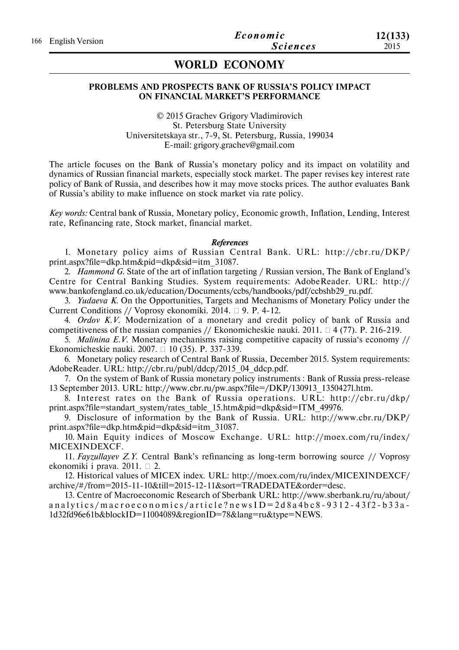# **WORLD ECONOMY**

### **PROBLEMS AND PROSPECTS BANK OF RUSSIA'S POLICY IMPACT ON FINANCIAL MARKET'S PERFORMANCE**

© 2015 Grachev Grigory Vladimirovich St. Petersburg State University Universitetskaya str., 7-9, St. Petersburg, Russia, 199034 E-mail: grigory.grachev@gmail.com

The article focuses on the Bank of Russia's monetary policy and its impact on volatility and dynamics of Russian financial markets, especially stock market. The paper revises key interest rate policy of Bank of Russia, and describes how it may move stocks prices. The author evaluates Bank of Russia's ability to make influence on stock market via rate policy.

*Key words:* Central bank of Russia, Monetary policy, Economic growth, Inflation, Lending, Interest rate, Refinancing rate, Stock market, financial market.

#### *References*

1. Monetary policy aims of Russian Central Bank. URL: http://cbr.ru/DKP/ print.aspx?file=dkp.htm&pid=dkp&sid=itm\_31087.

2. *Hammond G.* State of the art of inflation targeting / Russian version, The Bank of England's Centre for Central Banking Studies. System requirements: AdobeReader. URL: http:// www.bankofengland.co.uk/education/Documents/ccbs/handbooks/pdf/ccbshb29\_ru.pdf.

3. *Yudaeva K.* On the Opportunities, Targets and Mechanisms of Monetary Policy under the Current Conditions // Voprosy ekonomiki. 2014.  $\Box$  9. P. 4-12.

4. *Ordov K.V.* Modernization of a monetary and credit policy of bank of Russia and competitiveness of the russian companies // Ekonomicheskie nauki. 2011.  $\Box$  4 (77). P. 216-219.

5. *Malinina E.V.* Monetary mechanisms raising competitive capacity of russia's economy // Ekonomicheskie nauki. 2007. 10 (35). Р. 337-339.

6. Monetary policy research of Central Bank of Russia, December 2015. System requirements: AdobeReader. URL: http://cbr.ru/publ/ddcp/2015\_04\_ddcp.pdf.

7. On the system of Bank of Russia monetary policy instruments : Bank of Russia press-release 13 September 2013. URL: http://www.cbr.ru/pw.aspx?file=/DKP/130913\_1350427l.htm.

8. Interest rates on the Bank of Russia operations. URL: http://cbr.ru/dkp/ print.aspx?file=standart\_system/rates\_table\_15.htm&pid=dkp&sid=ITM\_49976.

9. Disclosure of information by the Bank of Russia. URL: http://www.cbr.ru/DKP/ print.aspx?file=dkp.htm&pid=dkp&sid=itm\_31087.

10. Main Equity indices of Moscow Exchange. URL: http://moex.com/ru/index/ MICEXINDEXCF.

11. *Fayzullayev Z.Y.* Central Bank's refinancing as long-term borrowing source // Voprosy ekonomiki i prava. 2011.  $\Box$  2.

12. Historical values of MICEX index. URL: http://moex.com/ru/index/MICEXINDEXCF/ archive/#/from=2015-11-10&till=2015-12-11&sort=TRADEDATE&order=desc.

13. Centre of Macroeconomic Research of Sberbank URL: http://www.sberbank.ru/ru/about/ a n a l y t i c s / m a c r o e c o n o m i c s / a r t i c l e ? n e w s I  $D = 2d8$  a 4 b c  $8 - 9312 - 43f2 - b33a -$ 1d32fd96e61b&blockID=11004089&regionID=78&lang=ru&type=NEWS.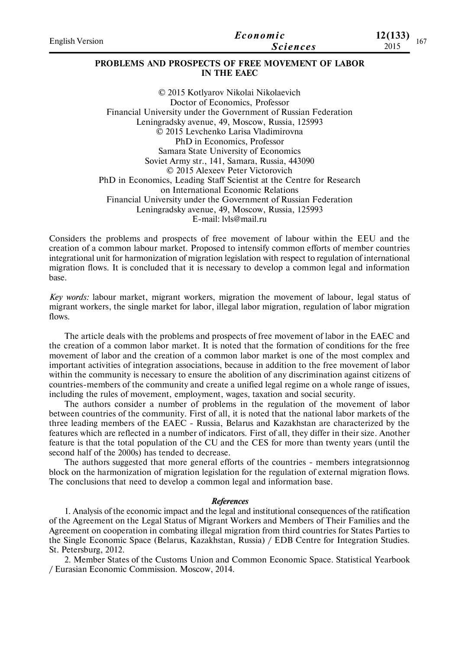| <b>English Version</b> | Economic<br><b>Sciences</b>                                            | 12(133)<br>2015 | 167 |
|------------------------|------------------------------------------------------------------------|-----------------|-----|
|                        | <b>PROBLEMS AND PROSPECTS OF FREE MOVEMENT OF LABOR</b><br>IN THE EAEC |                 |     |
|                        | © 2015 Kotlyarov Nikolai Nikolaevich                                   |                 |     |
|                        | Doctor of Economics, Professor                                         |                 |     |
|                        | Financial University under the Government of Russian Federation        |                 |     |
|                        | Leningradsky avenue, 49, Moscow, Russia, 125993                        |                 |     |
|                        | © 2015 Levchenko Larisa Vladimirovna                                   |                 |     |
|                        | PhD in Economics Professor                                             |                 |     |

PhD in Economics, Professor Samara State University of Economics Soviet Army str., 141, Samara, Russia, 443090 © 2015 Alexeev Peter Victorovich PhD in Economics, Leading Staff Scientist at the Centre for Research on International Economic Relations Financial University under the Government of Russian Federation Leningradsky avenue, 49, Moscow, Russia, 125993 E-mail: lvls@mail.ru

Considers the problems and prospects of free movement of labour within the EEU and the creation of a common labour market. Proposed to intensify common efforts of member countries integrational unit for harmonization of migration legislation with respect to regulation of international migration flows. It is concluded that it is necessary to develop a common legal and information base.

*Key words:* labour market, migrant workers, migration the movement of labour, legal status of migrant workers, the single market for labor, illegal labor migration, regulation of labor migration flows.

The article deals with the problems and prospects of free movement of labor in the EAEC and the creation of a common labor market. It is noted that the formation of conditions for the free movement of labor and the creation of a common labor market is one of the most complex and important activities of integration associations, because in addition to the free movement of labor within the community is necessary to ensure the abolition of any discrimination against citizens of countries-members of the community and create a unified legal regime on a whole range of issues, including the rules of movement, employment, wages, taxation and social security.

The authors consider a number of problems in the regulation of the movement of labor between countries of the community. First of all, it is noted that the national labor markets of the three leading members of the EAEC - Russia, Belarus and Kazakhstan are characterized by the features which are reflected in a number of indicators. First of all, they differ in their size. Another feature is that the total population of the CU and the CES for more than twenty years (until the second half of the 2000s) has tended to decrease.

The authors suggested that more general efforts of the countries - members integratsionnog block on the harmonization of migration legislation for the regulation of external migration flows. The conclusions that need to develop a common legal and information base.

#### *References*

1. Analysis of the economic impact and the legal and institutional consequences of the ratification of the Agreement on the Legal Status of Migrant Workers and Members of Their Families and the Agreement on cooperation in combating illegal migration from third countries for States Parties to the Single Economic Space (Belarus, Kazakhstan, Russia) / EDB Centre for Integration Studies. St. Petersburg, 2012.

2. Member States of the Customs Union and Common Economic Space. Statistical Yearbook / Eurasian Economic Commission. Moscow, 2014.